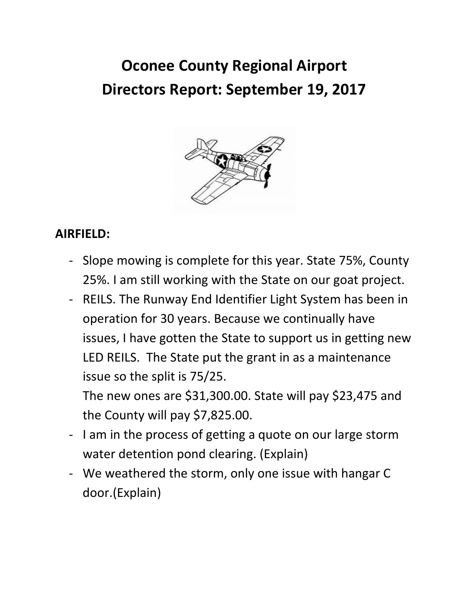# **Oconee County Regional Airport Directors Report: September 19, 2017**



#### **AIRFIELD:**

- Slope mowing is complete for this year. State 75%, County 25%. I am still working with the State on our goat project.
- REILS. The Runway End Identifier Light System has been in operation for 30 years. Because we continually have issues, I have gotten the State to support us in getting new LED REILS. The State put the grant in as a maintenance issue so the split is 75/25.

The new ones are \$31,300.00. State will pay \$23,475 and the County will pay \$7,825.00.

- I am in the process of getting a quote on our large storm water detention pond clearing. (Explain)
- We weathered the storm, only one issue with hangar C door.(Explain)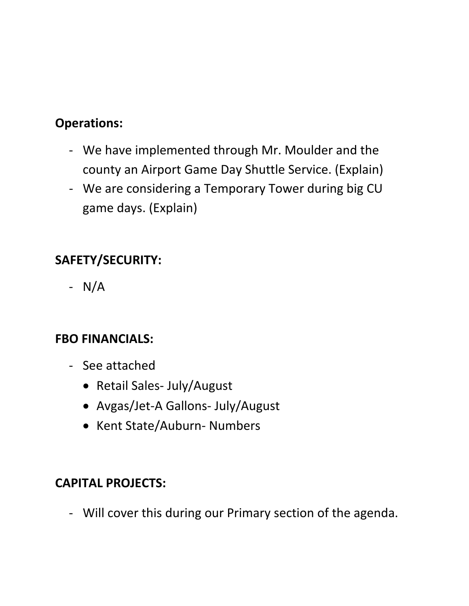# **Operations:**

- We have implemented through Mr. Moulder and the county an Airport Game Day Shuttle Service. (Explain)
- We are considering a Temporary Tower during big CU game days. (Explain)

# **SAFETY/SECURITY:**

- N/A

### **FBO FINANCIALS:**

- See attached
	- Retail Sales- July/August
	- Avgas/Jet-A Gallons- July/August
	- Kent State/Auburn- Numbers

#### **CAPITAL PROJECTS:**

- Will cover this during our Primary section of the agenda.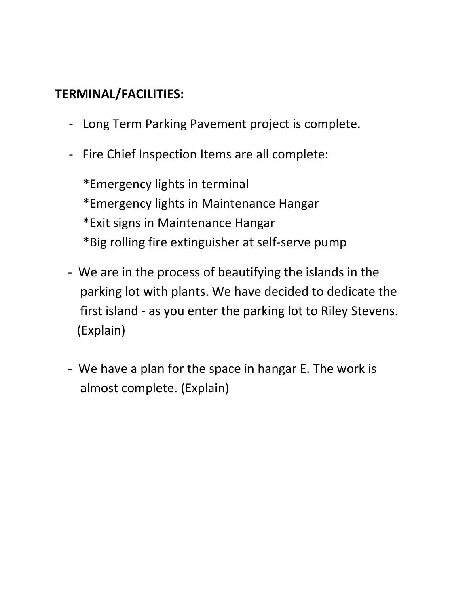# **TERMINAL/FACILITIES:**

- Long Term Parking Pavement project is complete.
- Fire Chief Inspection Items are all complete:

\*Emergency lights in terminal \*Emergency lights in Maintenance Hangar \*Exit signs in Maintenance Hangar \*Big rolling fire extinguisher at self-serve pump

- We are in the process of beautifying the islands in the parking lot with plants. We have decided to dedicate the first island - as you enter the parking lot to Riley Stevens. (Explain)
- We have a plan for the space in hangar E. The work is almost complete. (Explain)